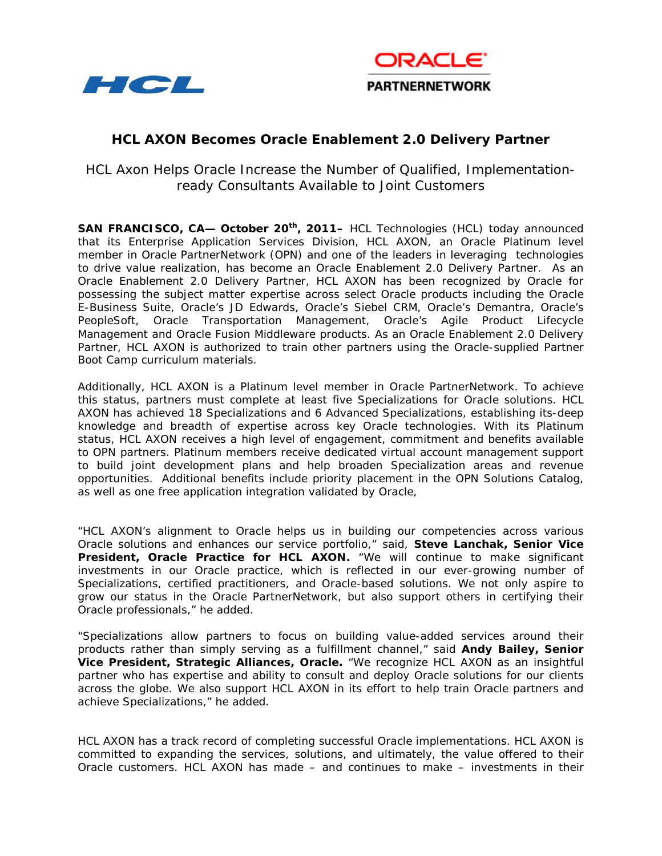



# **HCL AXON Becomes Oracle Enablement 2.0 Delivery Partner**

HCL Axon Helps Oracle Increase the Number of Qualified, Implementationready Consultants Available to Joint Customers

**SAN FRANCISCO, CA— October 20th, 2011–** HCL Technologies (HCL) today announced that its Enterprise Application Services Division, HCL AXON, an Oracle Platinum level member in Oracle PartnerNetwork (OPN) and one of the leaders in leveraging technologies to drive value realization, has become an Oracle Enablement 2.0 Delivery Partner. As an Oracle Enablement 2.0 Delivery Partner, HCL AXON has been recognized by Oracle for possessing the subject matter expertise across select Oracle products including the Oracle E-Business Suite, Oracle's JD Edwards, Oracle's Siebel CRM, Oracle's Demantra, Oracle's PeopleSoft, Oracle Transportation Management, Oracle's Agile Product Lifecycle Management and Oracle Fusion Middleware products. As an Oracle Enablement 2.0 Delivery Partner, HCL AXON is authorized to train other partners using the Oracle-supplied Partner Boot Camp curriculum materials.

Additionally, HCL AXON is a Platinum level member in Oracle PartnerNetwork. To achieve this status, partners must complete at least five Specializations for Oracle solutions. HCL AXON has achieved 18 Specializations and 6 Advanced Specializations, establishing its-deep knowledge and breadth of expertise across key Oracle technologies. With its Platinum status, HCL AXON receives a high level of engagement, commitment and benefits available to OPN partners. Platinum members receive dedicated virtual account management support to build joint development plans and help broaden Specialization areas and revenue opportunities. Additional benefits include priority placement in the OPN Solutions Catalog, as well as one free application integration validated by Oracle,

"HCL AXON's alignment to Oracle helps us in building our competencies across various Oracle solutions and enhances our service portfolio," said, **Steve Lanchak, Senior Vice President, Oracle Practice for HCL AXON.** "We will continue to make significant investments in our Oracle practice, which is reflected in our ever-growing number of Specializations, certified practitioners, and Oracle-based solutions. We not only aspire to grow our status in the Oracle PartnerNetwork, but also support others in certifying their Oracle professionals," he added.

"Specializations allow partners to focus on building value-added services around their products rather than simply serving as a fulfillment channel," said **Andy Bailey, Senior Vice President, Strategic Alliances, Oracle.** "We recognize HCL AXON as an insightful partner who has expertise and ability to consult and deploy Oracle solutions for our clients across the globe. We also support HCL AXON in its effort to help train Oracle partners and achieve Specializations," he added.

HCL AXON has a track record of completing successful Oracle implementations. HCL AXON is committed to expanding the services, solutions, and ultimately, the value offered to their Oracle customers. HCL AXON has made – and continues to make – investments in their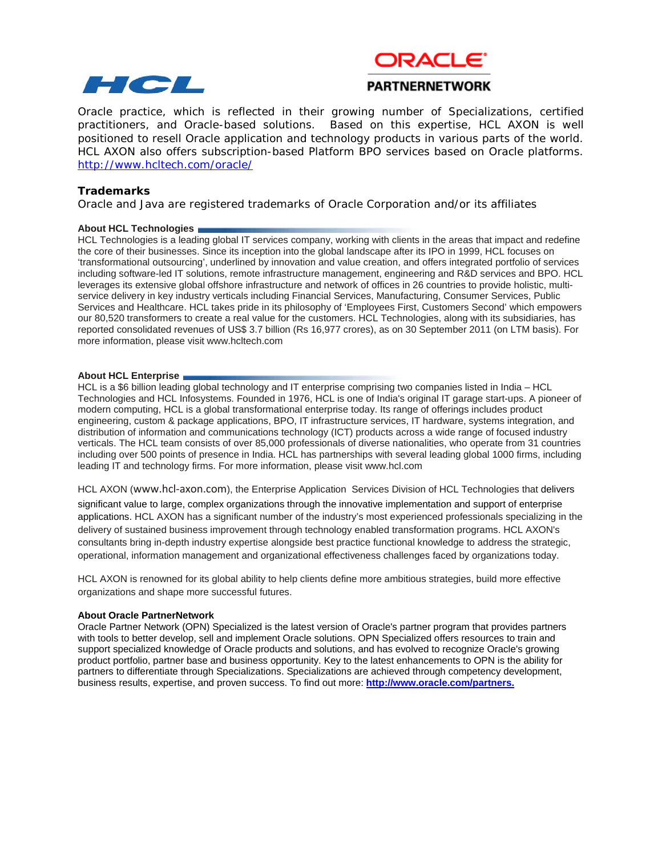



## **PARTNERNETWORK**

 Oracle practice, which is reflected in their growing number of Specializations, certified practitioners, and Oracle-based solutions. Based on this expertise, HCL AXON is well positioned to resell Oracle application and technology products in various parts of the world. HCL AXON also offers subscription-based Platform BPO services based on Oracle platforms. <http://www.hcltech.com/oracle/>

### **Trademarks**

Oracle and Java are registered trademarks of Oracle Corporation and/or its affiliates

#### **About HCL Technologies**

HCL Technologies is a leading global IT services company, working with clients in the areas that impact and redefine the core of their businesses. Since its inception into the global landscape after its IPO in 1999, HCL focuses on 'transformational outsourcing', underlined by innovation and value creation, and offers integrated portfolio of services including software-led IT solutions, remote infrastructure management, engineering and R&D services and BPO. HCL leverages its extensive global offshore infrastructure and network of offices in 26 countries to provide holistic, multiservice delivery in key industry verticals including Financial Services, Manufacturing, Consumer Services, Public Services and Healthcare. HCL takes pride in its philosophy of 'Employees First, Customers Second' which empowers our 80,520 transformers to create a real value for the customers. HCL Technologies, along with its subsidiaries, has reported consolidated revenues of US\$ 3.7 billion (Rs 16,977 crores), as on 30 September 2011 (on LTM basis). For more information, please visi[t www.hcltech.com](http://www.hcltech.com/) 

#### **About HCL Enterprise**

HCL is a \$6 billion leading global technology and IT enterprise comprising two companies listed in India – HCL Technologies and HCL Infosystems. Founded in 1976, HCL is one of India's original IT garage start-ups. A pioneer of modern computing, HCL is a global transformational enterprise today. Its range of offerings includes product engineering, custom & package applications, BPO, IT infrastructure services, IT hardware, systems integration, and distribution of information and communications technology (ICT) products across a wide range of focused industry verticals. The HCL team consists of over 85,000 professionals of diverse nationalities, who operate from 31 countries including over 500 points of presence in India. HCL has partnerships with several leading global 1000 firms, including leading IT and technology firms. For more information, please visi[t www.hcl.com](http://www.hcl.com/)

HCL AXON ([www.hcl-axon.com](http://www.hcl-axon.com/)), the Enterprise Application Services Division of HCL Technologies that delivers significant value to large, complex organizations through the innovative implementation and support of enterprise applications. HCL AXON has a significant number of the industry's most experienced professionals specializing in the delivery of sustained business improvement through technology enabled transformation programs. HCL AXON's consultants bring in-depth industry expertise alongside best practice functional knowledge to address the strategic, operational, information management and organizational effectiveness challenges faced by organizations today.

HCL AXON is renowned for its global ability to help clients define more ambitious strategies, build more effective organizations and shape more successful futures.

#### **About Oracle PartnerNetwork**

Oracle Partner Network (OPN) Specialized is the latest version of Oracle's partner program that provides partners with tools to better develop, sell and implement Oracle solutions. OPN Specialized offers resources to train and support specialized knowledge of Oracle products and solutions, and has evolved to recognize Oracle's growing product portfolio, partner base and business opportunity. Key to the latest enhancements to OPN is the ability for partners to differentiate through Specializations. Specializations are achieved through competency development, business results, expertise, and proven success. To find out more: **<http://www.oracle.com/partners.>**